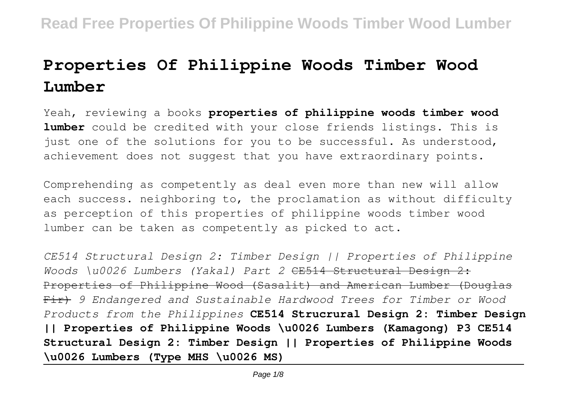# **Properties Of Philippine Woods Timber Wood Lumber**

Yeah, reviewing a books **properties of philippine woods timber wood lumber** could be credited with your close friends listings. This is just one of the solutions for you to be successful. As understood, achievement does not suggest that you have extraordinary points.

Comprehending as competently as deal even more than new will allow each success. neighboring to, the proclamation as without difficulty as perception of this properties of philippine woods timber wood lumber can be taken as competently as picked to act.

*CE514 Structural Design 2: Timber Design || Properties of Philippine Woods \u0026 Lumbers (Yakal) Part 2* CE514 Structural Design 2: Properties of Philippine Wood (Sasalit) and American Lumber (Douglas Fir) *9 Endangered and Sustainable Hardwood Trees for Timber or Wood Products from the Philippines* **CE514 Strucrural Design 2: Timber Design || Properties of Philippine Woods \u0026 Lumbers (Kamagong) P3 CE514 Structural Design 2: Timber Design || Properties of Philippine Woods \u0026 Lumbers (Type MHS \u0026 MS)**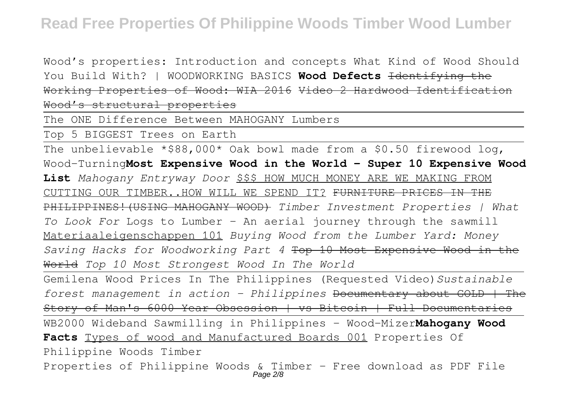Wood's properties: Introduction and concepts What Kind of Wood Should You Build With? | WOODWORKING BASICS Wood Defects <del>Identifying the</del> Working Properties of Wood: WIA 2016 Video 2 Hardwood Identification Wood's structural properties

The ONE Difference Between MAHOGANY Lumbers

Top 5 BIGGEST Trees on Earth

The unbelievable  $*$ \$88,000\* Oak bowl made from a \$0.50 firewood log, Wood-Turning**Most Expensive Wood in the World - Super 10 Expensive Wood List** *Mahogany Entryway Door* \$\$\$ HOW MUCH MONEY ARE WE MAKING FROM CUTTING OUR TIMBER..HOW WILL WE SPEND IT? FURNITURE PRICES IN THE PHILIPPINES!(USING MAHOGANY WOOD) *Timber Investment Properties | What To Look For* Logs to Lumber - An aerial journey through the sawmill Materiaaleigenschappen 101 *Buying Wood from the Lumber Yard: Money Saving Hacks for Woodworking Part 4* Top 10 Most Expensive Wood in the World *Top 10 Most Strongest Wood In The World*

Gemilena Wood Prices In The Philippines (Requested Video)*Sustainable forest management in action - Philippines* Documentary about GOLD | The Story of Man's 6000 Year Obsession | vs Bitcoin | Full Documentaries

WB2000 Wideband Sawmilling in Philippines - Wood-Mizer**Mahogany Wood Facts** Types of wood and Manufactured Boards 001 Properties Of Philippine Woods Timber

Properties of Philippine Woods & Timber - Free download as PDF File Page 2/8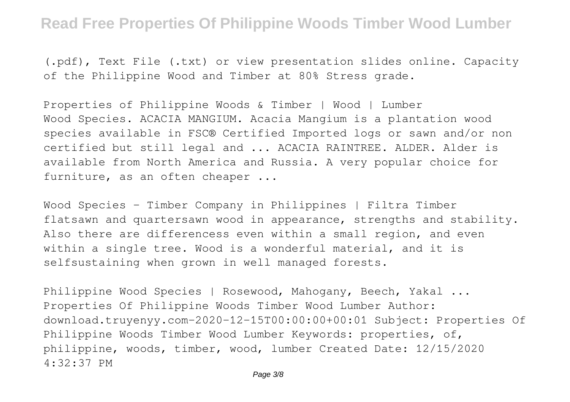(.pdf), Text File (.txt) or view presentation slides online. Capacity of the Philippine Wood and Timber at 80% Stress grade.

Properties of Philippine Woods & Timber | Wood | Lumber Wood Species. ACACIA MANGIUM. Acacia Mangium is a plantation wood species available in FSC® Certified Imported logs or sawn and/or non certified but still legal and ... ACACIA RAINTREE. ALDER. Alder is available from North America and Russia. A very popular choice for furniture, as an often cheaper ...

Wood Species - Timber Company in Philippines | Filtra Timber flatsawn and quartersawn wood in appearance, strengths and stability. Also there are differencess even within a small region, and even within a single tree. Wood is a wonderful material, and it is selfsustaining when grown in well managed forests.

Philippine Wood Species | Rosewood, Mahogany, Beech, Yakal ... Properties Of Philippine Woods Timber Wood Lumber Author: download.truyenyy.com-2020-12-15T00:00:00+00:01 Subject: Properties Of Philippine Woods Timber Wood Lumber Keywords: properties, of, philippine, woods, timber, wood, lumber Created Date: 12/15/2020 4:32:37 PM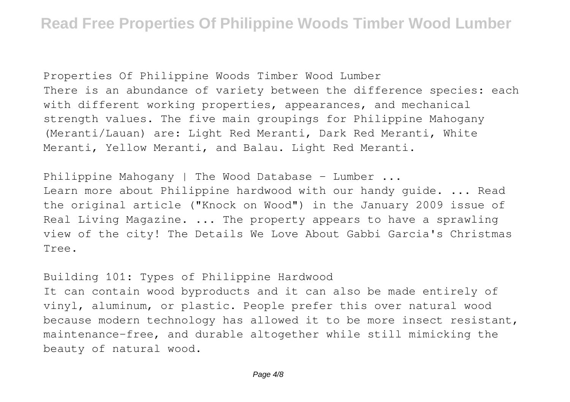Properties Of Philippine Woods Timber Wood Lumber There is an abundance of variety between the difference species: each with different working properties, appearances, and mechanical strength values. The five main groupings for Philippine Mahogany (Meranti/Lauan) are: Light Red Meranti, Dark Red Meranti, White Meranti, Yellow Meranti, and Balau. Light Red Meranti.

Philippine Mahogany | The Wood Database - Lumber ...

Learn more about Philippine hardwood with our handy guide. ... Read the original article ("Knock on Wood") in the January 2009 issue of Real Living Magazine. ... The property appears to have a sprawling view of the city! The Details We Love About Gabbi Garcia's Christmas Tree.

Building 101: Types of Philippine Hardwood

It can contain wood byproducts and it can also be made entirely of vinyl, aluminum, or plastic. People prefer this over natural wood because modern technology has allowed it to be more insect resistant, maintenance-free, and durable altogether while still mimicking the beauty of natural wood.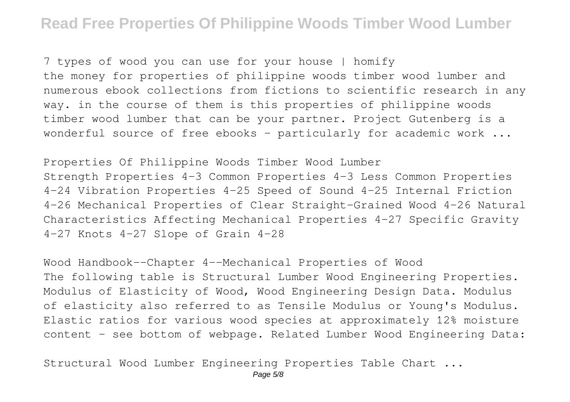7 types of wood you can use for your house | homify the money for properties of philippine woods timber wood lumber and numerous ebook collections from fictions to scientific research in any way. in the course of them is this properties of philippine woods timber wood lumber that can be your partner. Project Gutenberg is a wonderful source of free ebooks – particularly for academic work ...

Properties Of Philippine Woods Timber Wood Lumber Strength Properties 4–3 Common Properties 4–3 Less Common Properties 4–24 Vibration Properties 4–25 Speed of Sound 4–25 Internal Friction 4–26 Mechanical Properties of Clear Straight-Grained Wood 4–26 Natural Characteristics Affecting Mechanical Properties 4–27 Specific Gravity 4–27 Knots 4–27 Slope of Grain 4–28

Wood Handbook--Chapter 4--Mechanical Properties of Wood The following table is Structural Lumber Wood Engineering Properties. Modulus of Elasticity of Wood, Wood Engineering Design Data. Modulus of elasticity also referred to as Tensile Modulus or Young's Modulus. Elastic ratios for various wood species at approximately 12% moisture content - see bottom of webpage. Related Lumber Wood Engineering Data:

Structural Wood Lumber Engineering Properties Table Chart ...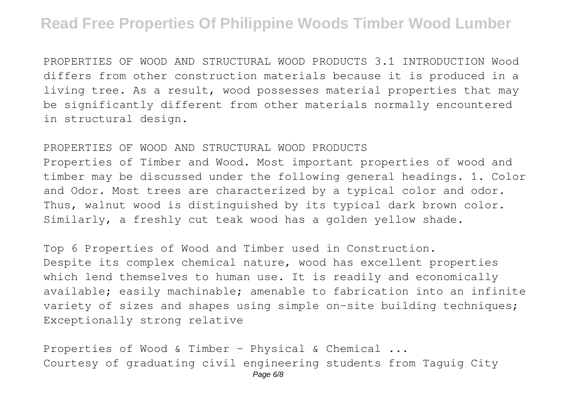PROPERTIES OF WOOD AND STRUCTURAL WOOD PRODUCTS 3.1 INTRODUCTION Wood differs from other construction materials because it is produced in a living tree. As a result, wood possesses material properties that may be significantly different from other materials normally encountered in structural design.

#### PROPERTIES OF WOOD AND STRUCTURAL WOOD PRODUCTS

Properties of Timber and Wood. Most important properties of wood and timber may be discussed under the following general headings. 1. Color and Odor. Most trees are characterized by a typical color and odor. Thus, walnut wood is distinguished by its typical dark brown color. Similarly, a freshly cut teak wood has a golden yellow shade.

Top 6 Properties of Wood and Timber used in Construction. Despite its complex chemical nature, wood has excellent properties which lend themselves to human use. It is readily and economically available; easily machinable; amenable to fabrication into an infinite variety of sizes and shapes using simple on-site building techniques; Exceptionally strong relative

Properties of Wood & Timber - Physical & Chemical ... Courtesy of graduating civil engineering students from Taguig City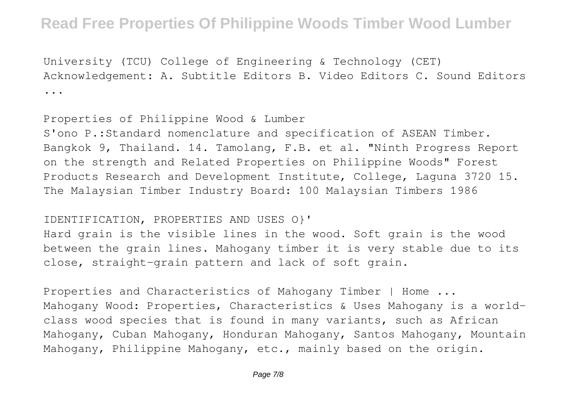University (TCU) College of Engineering & Technology (CET) Acknowledgement: A. Subtitle Editors B. Video Editors C. Sound Editors ...

Properties of Philippine Wood & Lumber

S'ono P.:Standard nomenclature and specification of ASEAN Timber. Bangkok 9, Thailand. 14. Tamolang, F.B. et al. "Ninth Progress Report on the strength and Related Properties on Philippine Woods" Forest Products Research and Development Institute, College, Laguna 3720 15. The Malaysian Timber Industry Board: 100 Malaysian Timbers 1986

#### IDENTIFICATION, PROPERTIES AND USES O}'

Hard grain is the visible lines in the wood. Soft grain is the wood between the grain lines. Mahogany timber it is very stable due to its close, straight-grain pattern and lack of soft grain.

Properties and Characteristics of Mahogany Timber | Home ... Mahogany Wood: Properties, Characteristics & Uses Mahogany is a worldclass wood species that is found in many variants, such as African Mahogany, Cuban Mahogany, Honduran Mahogany, Santos Mahogany, Mountain Mahogany, Philippine Mahogany, etc., mainly based on the origin.